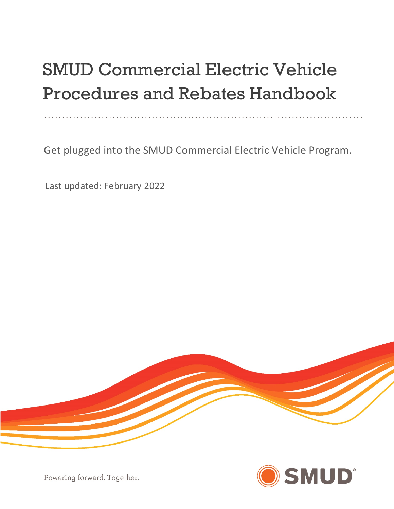# SMUD Commercial Electric Vehicle Procedures and Rebates Handbook

Get plugged into the SMUD Commercial Electric Vehicle Program.

Last updated: February 2022





Powering forward. Together.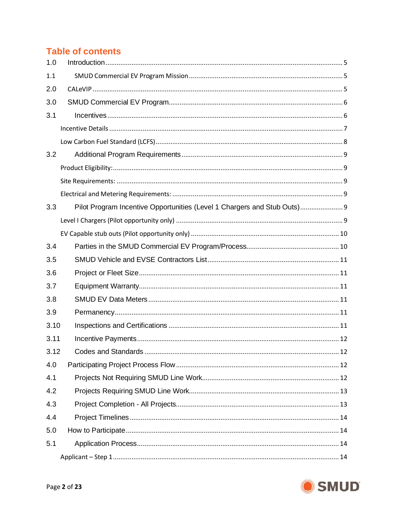# **Table of contents**

| 1.0  |                                                                        |  |  |  |
|------|------------------------------------------------------------------------|--|--|--|
| 1.1  |                                                                        |  |  |  |
| 2.0  |                                                                        |  |  |  |
| 3.0  |                                                                        |  |  |  |
| 3.1  |                                                                        |  |  |  |
|      |                                                                        |  |  |  |
|      |                                                                        |  |  |  |
| 3.2  |                                                                        |  |  |  |
|      |                                                                        |  |  |  |
|      |                                                                        |  |  |  |
|      |                                                                        |  |  |  |
| 3.3  | Pilot Program Incentive Opportunities (Level 1 Chargers and Stub Outs) |  |  |  |
|      |                                                                        |  |  |  |
|      |                                                                        |  |  |  |
| 3.4  |                                                                        |  |  |  |
| 3.5  |                                                                        |  |  |  |
| 3.6  |                                                                        |  |  |  |
| 3.7  |                                                                        |  |  |  |
| 3.8  |                                                                        |  |  |  |
| 3.9  |                                                                        |  |  |  |
| 3.10 |                                                                        |  |  |  |
| 3.11 |                                                                        |  |  |  |
| 3.12 |                                                                        |  |  |  |
| 4.0  |                                                                        |  |  |  |
| 4.1  |                                                                        |  |  |  |
| 4.2  |                                                                        |  |  |  |
| 4.3  |                                                                        |  |  |  |
| 4.4  |                                                                        |  |  |  |
| 5.0  |                                                                        |  |  |  |
| 5.1  |                                                                        |  |  |  |
|      |                                                                        |  |  |  |

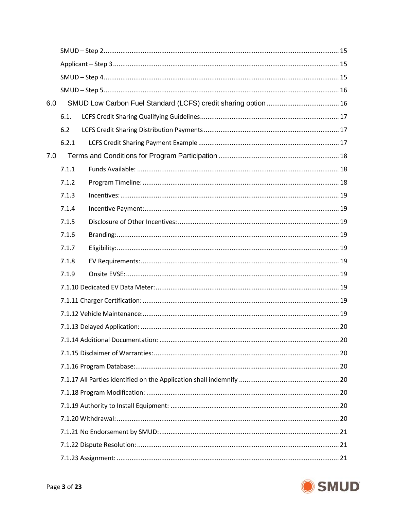| 6.0 |       |  |
|-----|-------|--|
|     | 6.1.  |  |
|     | 6.2   |  |
|     | 6.2.1 |  |
| 7.0 |       |  |
|     | 7.1.1 |  |
|     | 7.1.2 |  |
|     | 7.1.3 |  |
|     | 7.1.4 |  |
|     | 7.1.5 |  |
|     | 7.1.6 |  |
|     | 7.1.7 |  |
|     | 7.1.8 |  |
|     | 7.1.9 |  |
|     |       |  |
|     |       |  |
|     |       |  |
|     |       |  |
|     |       |  |
|     |       |  |
|     |       |  |
|     |       |  |
|     |       |  |
|     |       |  |
|     |       |  |
|     |       |  |
|     |       |  |
|     |       |  |

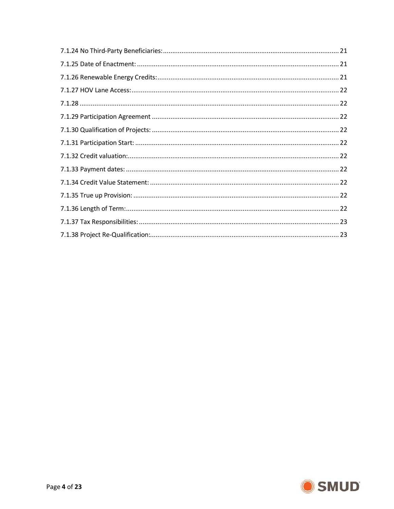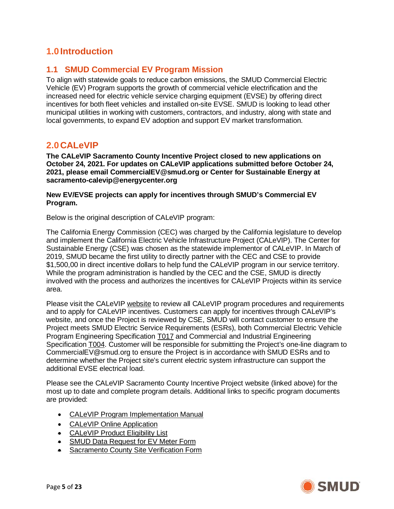# <span id="page-4-0"></span>**1.0Introduction**

# <span id="page-4-1"></span>**1.1 SMUD Commercial EV Program Mission**

To align with statewide goals to reduce carbon emissions, the SMUD Commercial Electric Vehicle (EV) Program supports the growth of commercial vehicle electrification and the increased need for electric vehicle service charging equipment (EVSE) by offering direct incentives for both fleet vehicles and installed on-site EVSE. SMUD is looking to lead other municipal utilities in working with customers, contractors, and industry, along with state and local governments, to expand EV adoption and support EV market transformation.

# <span id="page-4-2"></span>**2.0CALeVIP**

**The CALeVIP Sacramento County Incentive Project closed to new applications on October 24, 2021. For updates on CALeVIP applications submitted before October 24, 2021, please email [CommercialEV@smud.org](mailto:CommercialEV@smud.org) or Center for Sustainable Energy at sacramento-calevip@energycenter.org**

**New EV/EVSE projects can apply for incentives through SMUD's Commercial EV Program.** 

Below is the original description of CALeVIP program:

The California Energy Commission (CEC) was charged by the California legislature to develop and implement the California Electric Vehicle Infrastructure Project (CALeVIP). The Center for Sustainable Energy (CSE) was chosen as the statewide implementor of CALeVIP. In March of 2019, SMUD became the first utility to directly partner with the CEC and CSE to provide \$1,500,00 in direct incentive dollars to help fund the CALeVIP program in our service territory. While the program administration is handled by the CEC and the CSE, SMUD is directly involved with the process and authorizes the incentives for CALeVIP Projects within its service area.

Please visit the CALeVIP [website](https://calevip.org/incentive-project/sacramento-county-incentive-project) to review all CALeVIP program procedures and requirements and to apply for CALeVIP incentives. Customers can apply for incentives through CALeVIP's website, and once the Project is reviewed by CSE, SMUD will contact customer to ensure the Project meets SMUD Electric Service Requirements (ESRs), both Commercial Electric Vehicle Program Engineering Specification [T017](https://www.smud.org/-/media/Documents/Business-Solutions-and-Rebates/PDFs/Engineering-Specification-T017---Electric-Vehicle-Chargers-Rev-0---3-6-18.ashx) and Commercial and Industrial Engineering Specification [T004.](https://www.smud.org/-/media/Documents/Business-Solutions-and-Rebates/PDFs/Commercial_Industrial_Sec_IV.ashx) Customer will be responsible for submitting the Project's one-line diagram to [CommercialEV@smud.org](mailto:CommercialEV@smud.org) to ensure the Project is in accordance with SMUD ESRs and to determine whether the Project site's current electric system infrastructure can support the additional EVSE electrical load.

Please see the CALeVIP Sacramento County Incentive Project website (linked above) for the most up to date and complete program details. Additional links to specific program documents are provided:

- [CALeVIP Program Implementation Manual](https://calevip.org/sites/default/files/2019-03/implementation-manual-sacramento-county.pdf)
- [CALeVIP Online Application](https://calevip.org/user/register?destination=/incentive-project/sacramento/apply)
- [CALeVIP Product Eligibility List](https://calevip.org/sites/default/files/docs/calevip/CALeVIP_Eligible_Equipment.pdf)
- [SMUD Data Request for EV Meter](https://calevip.org/sites/default/files/docs/calevip-sacramento/Sacramento-County-SMUD-EV-Meter-Form.pdf) Form
- [Sacramento County Site Verification Form](https://calevip.org/sites/default/files/2019-02/Sacramento-County-Site-Verification-Form.pdf)

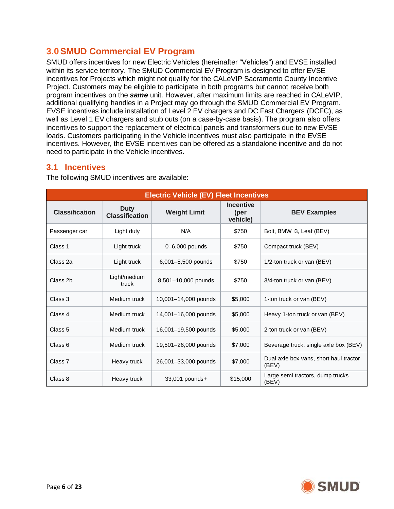# <span id="page-5-0"></span>**3.0SMUD Commercial EV Program**

SMUD offers incentives for new Electric Vehicles (hereinafter "Vehicles") and EVSE installed within its service territory. The SMUD Commercial EV Program is designed to offer EVSE incentives for Projects which might not qualify for the CALeVIP Sacramento County Incentive Project. Customers may be eligible to participate in both programs but cannot receive both program incentives on the *same* unit. However, after maximum limits are reached in CALeVIP, additional qualifying handles in a Project may go through the SMUD Commercial EV Program. EVSE incentives include installation of Level 2 EV chargers and DC Fast Chargers (DCFC), as well as Level 1 EV chargers and stub outs (on a case-by-case basis). The program also offers incentives to support the replacement of electrical panels and transformers due to new EVSE loads. Customers participating in the Vehicle incentives must also participate in the EVSE incentives. However, the EVSE incentives can be offered as a standalone incentive and do not need to participate in the Vehicle incentives.

# <span id="page-5-1"></span>**3.1 Incentives**

The following SMUD incentives are available:

| <b>Electric Vehicle (EV) Fleet Incentives</b> |                                      |                      |                                      |                                                 |  |
|-----------------------------------------------|--------------------------------------|----------------------|--------------------------------------|-------------------------------------------------|--|
| <b>Classification</b>                         | <b>Duty</b><br><b>Classification</b> | <b>Weight Limit</b>  | <b>Incentive</b><br>(per<br>vehicle) | <b>BEV Examples</b>                             |  |
| Passenger car                                 | Light duty                           | N/A                  | \$750                                | Bolt, BMW i3, Leaf (BEV)                        |  |
| Class 1                                       | Light truck                          | 0-6,000 pounds       | \$750                                | Compact truck (BEV)                             |  |
| Class 2a                                      | Light truck                          | 6,001-8,500 pounds   | \$750                                | 1/2-ton truck or van (BEV)                      |  |
| Class 2b                                      | Light/medium<br>truck                | 8,501-10,000 pounds  | \$750                                | 3/4-ton truck or van (BEV)                      |  |
| Class 3                                       | Medium truck                         | 10,001-14,000 pounds | \$5,000                              | 1-ton truck or van (BEV)                        |  |
| Class 4                                       | Medium truck                         | 14,001-16,000 pounds | \$5,000                              | Heavy 1-ton truck or van (BEV)                  |  |
| Class <sub>5</sub>                            | Medium truck                         | 16,001-19,500 pounds | \$5,000                              | 2-ton truck or van (BEV)                        |  |
| Class <sub>6</sub>                            | Medium truck                         | 19,501-26,000 pounds | \$7,000                              | Beverage truck, single axle box (BEV)           |  |
| Class 7                                       | Heavy truck                          | 26,001-33,000 pounds | \$7,000                              | Dual axle box vans, short haul tractor<br>(BEV) |  |
| Class 8                                       | Heavy truck                          | 33,001 pounds+       | \$15,000                             | Large semi tractors, dump trucks<br>(BEV)       |  |

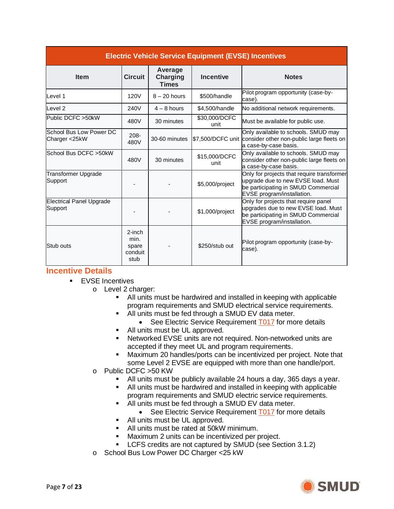| <b>Electric Vehicle Service Equipment (EVSE) Incentives</b> |                                               |                                            |                       |                                                                                                                                                       |  |  |  |
|-------------------------------------------------------------|-----------------------------------------------|--------------------------------------------|-----------------------|-------------------------------------------------------------------------------------------------------------------------------------------------------|--|--|--|
| <b>Item</b>                                                 | <b>Circuit</b>                                | Average<br><b>Charging</b><br><b>Times</b> | <b>Incentive</b>      | <b>Notes</b>                                                                                                                                          |  |  |  |
| Level 1                                                     | 120V                                          | $8 - 20$ hours                             | \$500/handle          | Pilot program opportunity (case-by-<br>case).                                                                                                         |  |  |  |
| Level <sub>2</sub>                                          | 240V                                          | $4 - 8$ hours                              | \$4,500/handle        | No additional network requirements.                                                                                                                   |  |  |  |
| Public DCFC >50kW                                           | 480V                                          | 30 minutes                                 | \$30,000/DCFC<br>unit | Must be available for public use.                                                                                                                     |  |  |  |
| School Bus Low Power DC<br>Charger <25kW                    | $208 -$<br>480V                               | 30-60 minutes                              | \$7,500/DCFC unit     | Only available to schools. SMUD may<br>consider other non-public large fleets on<br>a case-by-case basis.                                             |  |  |  |
| School Bus DCFC >50kW                                       | 480V                                          | 30 minutes                                 | \$15,000/DCFC<br>unit | Only available to schools. SMUD may<br>consider other non-public large fleets on<br>a case-by-case basis.                                             |  |  |  |
| <b>Transformer Upgrade</b><br>Support                       |                                               |                                            | \$5,000/project       | Only for projects that require transformer<br>upgrade due to new EVSE load. Must<br>be participating in SMUD Commercial<br>EVSE program/installation. |  |  |  |
| <b>Electrical Panel Upgrade</b><br>Support                  |                                               |                                            | \$1,000/project       | Only for projects that require panel<br>upgrades due to new EVSE load. Must<br>be participating in SMUD Commercial<br>EVSE program/installation.      |  |  |  |
| Stub outs                                                   | $2$ -inch<br>min.<br>spare<br>conduit<br>stub |                                            | \$250/stub out        | Pilot program opportunity (case-by-<br>case).                                                                                                         |  |  |  |

#### <span id="page-6-0"></span>**Incentive Details**

- **EVSE** Incentives
	- o Level 2 charger:<br>All units r
		- All units must be hardwired and installed in keeping with applicable program requirements and SMUD electrical service requirements.
		- All units must be fed through a SMUD EV data meter.
			- See Electric Service Requirement [T017](https://www.smud.org/-/media/Documents/Business-Solutions-and-Rebates/PDFs/Engineering-Specification-T017---Electric-Vehicle-Chargers-Rev-0---3-6-18.ashx) for more details
		- All units must be UL approved.
		- Networked EVSE units are not required. Non-networked units are accepted if they meet UL and program requirements.
		- Maximum 20 handles/ports can be incentivized per project. Note that some Level 2 EVSE are equipped with more than one handle/port.
		- o Public DCFC >50 KW
			- All units must be publicly available 24 hours a day, 365 days a year.
			- All units must be hardwired and installed in keeping with applicable program requirements and SMUD electric service requirements.
			- All units must be fed through a SMUD EV data meter.
				- See Electric Service Requirement [T017](https://www.smud.org/-/media/Documents/Business-Solutions-and-Rebates/PDFs/Engineering-Specification-T017---Electric-Vehicle-Chargers-Rev-0---3-6-18.ashx) for more details
			- All units must be UL approved.
			- All units must be rated at 50kW minimum.
			- Maximum 2 units can be incentivized per project.
			- LCFS credits are not captured by SMUD (see Section 3.1.2)
		- o School Bus Low Power DC Charger <25 kW

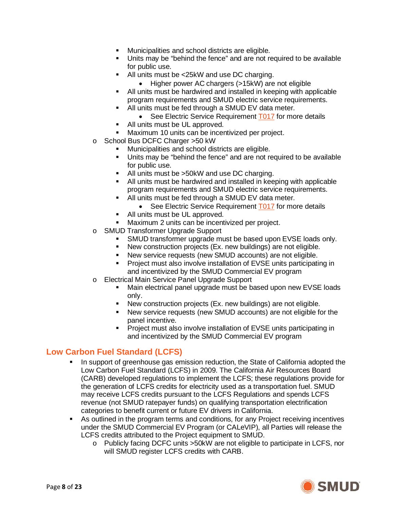- Municipalities and school districts are eligible.
- Units may be "behind the fence" and are not required to be available for public use.
- All units must be <25kW and use DC charging.
	- Higher power AC chargers (>15kW) are not eligible
- All units must be hardwired and installed in keeping with applicable program requirements and SMUD electric service requirements.
- All units must be fed through a SMUD EV data meter.
	- See Electric Service Requirement [T017](https://www.smud.org/-/media/Documents/Business-Solutions-and-Rebates/PDFs/Engineering-Specification-T017---Electric-Vehicle-Chargers-Rev-0---3-6-18.ashx) for more details
	- All units must be UL approved.
- Maximum 10 units can be incentivized per project.
- o School Bus DCFC Charger >50 kW
	- **Municipalities and school districts are eligible.**
	- Units may be "behind the fence" and are not required to be available for public use.
	- All units must be >50kW and use DC charging.
	- All units must be hardwired and installed in keeping with applicable program requirements and SMUD electric service requirements.
	- All units must be fed through a SMUD EV data meter.
		- See Electric Service Requirement [T017](https://www.smud.org/-/media/Documents/Business-Solutions-and-Rebates/PDFs/Engineering-Specification-T017---Electric-Vehicle-Chargers-Rev-0---3-6-18.ashx) for more details
	- All units must be UL approved.
	- Maximum 2 units can be incentivized per project.
- o SMUD Transformer Upgrade Support
	- SMUD transformer upgrade must be based upon EVSE loads only.
	- New construction projects (Ex. new buildings) are not eligible.
	- New service requests (new SMUD accounts) are not eligible.
	- Project must also involve installation of EVSE units participating in and incentivized by the SMUD Commercial EV program
- o Electrical Main Service Panel Upgrade Support<br>Main electrical panel upgrade must be ba
	- Main electrical panel upgrade must be based upon new EVSE loads only.
	- New construction projects (Ex. new buildings) are not eligible.
	- New service requests (new SMUD accounts) are not eligible for the panel incentive.
	- Project must also involve installation of EVSE units participating in and incentivized by the SMUD Commercial EV program

#### <span id="page-7-0"></span>**Low Carbon Fuel Standard (LCFS)**

- In support of greenhouse gas emission reduction, the State of California adopted the Low Carbon Fuel Standard (LCFS) in 2009. The California Air Resources Board (CARB) developed regulations to implement the LCFS; these regulations provide for the generation of LCFS credits for electricity used as a transportation fuel. SMUD may receive LCFS credits pursuant to the LCFS Regulations and spends LCFS revenue (not SMUD ratepayer funds) on qualifying transportation electrification categories to benefit current or future EV drivers in California.
- As outlined in the program terms and conditions, for any Project receiving incentives under the SMUD Commercial EV Program (or CALeVIP), all Parties will release the LCFS credits attributed to the Project equipment to SMUD.
	- o Publicly facing DCFC units >50kW are not eligible to participate in LCFS, nor will SMUD register LCFS credits with CARB.

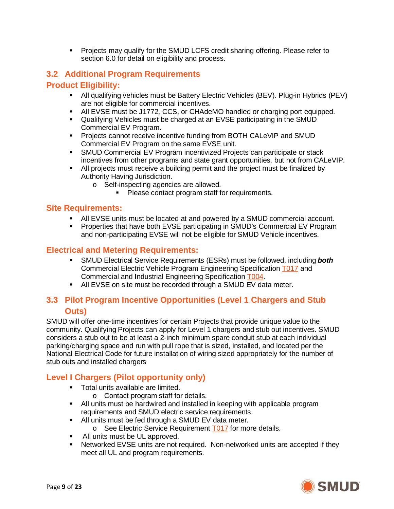Projects may qualify for the SMUD LCFS credit sharing offering. Please refer to section 6.0 for detail on eligibility and process.

#### <span id="page-8-0"></span>**3.2 Additional Program Requirements**

#### <span id="page-8-1"></span>**Product Eligibility:**

- All qualifying vehicles must be Battery Electric Vehicles (BEV). Plug-in Hybrids (PEV) are not eligible for commercial incentives.
- All EVSE must be J1772, CCS, or CHAdeMO handled or charging port equipped.
- Qualifying Vehicles must be charged at an EVSE participating in the SMUD Commercial EV Program.
- Projects cannot receive incentive funding from BOTH CALeVIP and SMUD Commercial EV Program on the same EVSE unit.
- SMUD Commercial EV Program incentivized Projects can participate or stack incentives from other programs and state grant opportunities, but not from CALeVIP.
- All projects must receive a building permit and the project must be finalized by Authority Having Jurisdiction.
	- o Self-inspecting agencies are allowed.
		- **Please contact program staff for requirements.**

#### <span id="page-8-2"></span>**Site Requirements:**

- All EVSE units must be located at and powered by a SMUD commercial account.
- **Properties that have both EVSE participating in SMUD's Commercial EV Program** and non-participating EVSE will not be eligible for SMUD Vehicle incentives.

#### <span id="page-8-3"></span>**Electrical and Metering Requirements:**

- SMUD Electrical Service Requirements (ESRs) must be followed, including *both* Commercial Electric Vehicle Program Engineering Specification [T017](https://www.smud.org/-/media/Documents/Business-Solutions-and-Rebates/PDFs/Engineering-Specification-T017---Electric-Vehicle-Chargers-Rev-0---3-6-18.ashx) and Commercial and Industrial Engineering Specification [T004.](https://www.smud.org/-/media/Documents/Business-Solutions-and-Rebates/PDFs/Commercial_Industrial_Sec_IV.ashx)
- All EVSE on site must be recorded through a SMUD EV data meter.

# <span id="page-8-4"></span>**3.3 Pilot Program Incentive Opportunities (Level 1 Chargers and Stub Outs)**

SMUD will offer one-time incentives for certain Projects that provide unique value to the community. Qualifying Projects can apply for Level 1 chargers and stub out incentives. SMUD considers a stub out to be at least a 2-inch minimum spare conduit stub at each individual parking/charging space and run with pull rope that is sized, installed, and located per the National Electrical Code for future installation of wiring sized appropriately for the number of stub outs and installed chargers

# <span id="page-8-5"></span>**Level I Chargers (Pilot opportunity only)**

- **Total units available are limited.** 
	- o Contact program staff for details.
- All units must be hardwired and installed in keeping with applicable program requirements and SMUD electric service requirements.
- All units must be fed through a SMUD EV data meter.
	- o See Electric Service Requirement [T017](https://www.smud.org/-/media/Documents/Business-Solutions-and-Rebates/PDFs/Engineering-Specification-T017---Electric-Vehicle-Chargers-Rev-0---3-6-18.ashx) for more details.
- All units must be UL approved.<br>• Networked EVSE units are not r
- Networked EVSE units are not required. Non-networked units are accepted if they meet all UL and program requirements.

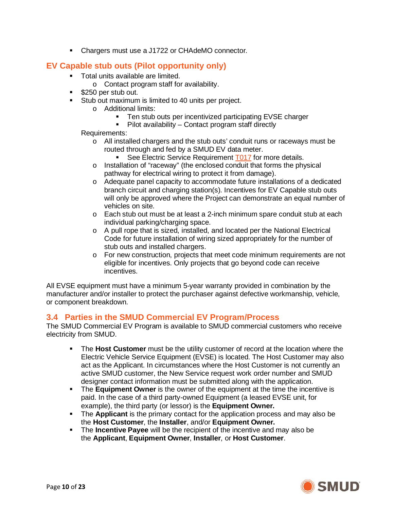• Chargers must use a J1722 or CHAdeMO connector.

#### <span id="page-9-0"></span>**EV Capable stub outs (Pilot opportunity only)**

- **Total units available are limited.** 
	- o Contact program staff for availability.
- **\$250 per stub out.**
- **Stub out maximum is limited to 40 units per project.** 
	- o Additional limits:
		- **Ten stub outs per incentivized participating EVSE charger**
		- **Pilot availability Contact program staff directly**

Requirements:

- o All installed chargers and the stub outs' conduit runs or raceways must be routed through and fed by a SMUD EV data meter.
	- See Electric Service Requirement [T017](https://www.smud.org/-/media/Documents/Business-Solutions-and-Rebates/PDFs/Engineering-Specification-T017---Electric-Vehicle-Chargers-Rev-0---3-6-18.ashx) for more details.
- o Installation of "raceway" (the enclosed conduit that forms the physical pathway for electrical wiring to protect it from damage).
- o Adequate panel capacity to accommodate future installations of a dedicated branch circuit and charging station(s). Incentives for EV Capable stub outs will only be approved where the Project can demonstrate an equal number of vehicles on site.
- o Each stub out must be at least a 2-inch minimum spare conduit stub at each individual parking/charging space.
- o A pull rope that is sized, installed, and located per the National Electrical Code for future installation of wiring sized appropriately for the number of stub outs and installed chargers.
- o For new construction, projects that meet code minimum requirements are not eligible for incentives. Only projects that go beyond code can receive incentives.

All EVSE equipment must have a minimum 5-year warranty provided in combination by the manufacturer and/or installer to protect the purchaser against defective workmanship, vehicle, or component breakdown.

#### <span id="page-9-1"></span>**3.4 Parties in the SMUD Commercial EV Program/Process**

The SMUD Commercial EV Program is available to SMUD commercial customers who receive electricity from SMUD.

- The **Host Customer** must be the utility customer of record at the location where the Electric Vehicle Service Equipment (EVSE) is located. The Host Customer may also act as the Applicant. In circumstances where the Host Customer is not currently an active SMUD customer, the New Service request work order number and SMUD designer contact information must be submitted along with the application.
- The **Equipment Owner** is the owner of the equipment at the time the incentive is paid. In the case of a third party-owned Equipment (a leased EVSE unit, for example), the third party (or lessor) is the **Equipment Owner.**
- **The Applicant** is the primary contact for the application process and may also be the **Host Customer**, the **Installer**, and/or **Equipment Owner.**
- The **Incentive Payee** will be the recipient of the incentive and may also be the **Applicant**, **Equipment Owner**, **Installer**, or **Host Customer**.

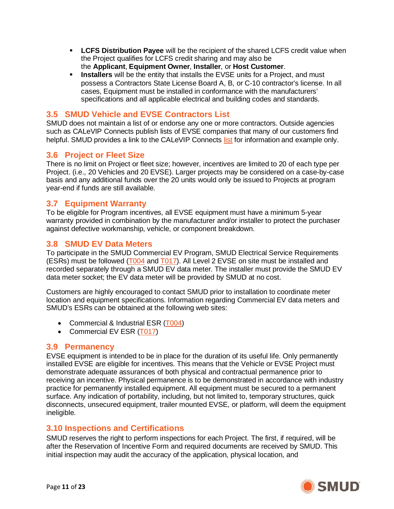- **LCFS Distribution Payee** will be the recipient of the shared LCFS credit value when the Project qualifies for LCFS credit sharing and may also be the **Applicant**, **Equipment Owner**, **Installer**, or **Host Customer**.
- **Installers** will be the entity that installs the EVSE units for a Project, and must possess a Contractors State License Board A, B, or C-10 contractor's license. In all cases, Equipment must be installed in conformance with the manufacturers' specifications and all applicable electrical and building codes and standards.

#### <span id="page-10-0"></span>**3.5 SMUD Vehicle and EVSE Contractors List**

SMUD does not maintain a list of or endorse any one or more contractors. Outside agencies such as CALeVIP Connects publish lists of EVSE companies that many of our customers find helpful. SMUD provides a link to the CALeVIP Connects [list](https://calevip.org/find-an-evsp) for information and example only.

#### <span id="page-10-1"></span>**3.6 Project or Fleet Size**

There is no limit on Project or fleet size; however, incentives are limited to 20 of each type per Project. (i.e., 20 Vehicles and 20 EVSE). Larger projects may be considered on a case-by-case basis and any additional funds over the 20 units would only be issued to Projects at program year-end if funds are still available.

#### <span id="page-10-2"></span>**3.7 Equipment Warranty**

To be eligible for Program incentives, all EVSE equipment must have a minimum 5-year warranty provided in combination by the manufacturer and/or installer to protect the purchaser against defective workmanship, vehicle, or component breakdown.

#### <span id="page-10-3"></span>**3.8 SMUD EV Data Meters**

To participate in the SMUD Commercial EV Program, SMUD Electrical Service Requirements (ESRs) must be followed [\(T004](https://www.smud.org/-/media/Documents/Business-Solutions-and-Rebates/PDFs/Commercial_Industrial_Sec_IV.ashx) and [T017\)](https://www.smud.org/-/media/Documents/Business-Solutions-and-Rebates/PDFs/Engineering-Specification-T017---Electric-Vehicle-Chargers-Rev-0---3-6-18.ashx). All Level 2 EVSE on site must be installed and recorded separately through a SMUD EV data meter. The installer must provide the SMUD EV data meter socket; the EV data meter will be provided by SMUD at no cost.

Customers are highly encouraged to contact SMUD prior to installation to coordinate meter location and equipment specifications. Information regarding Commercial EV data meters and SMUD's ESRs can be obtained at the following web sites:

- Commercial & Industrial ESR [\(T004\)](https://www.smud.org/-/media/Documents/Business-Solutions-and-Rebates/PDFs/Commercial_Industrial_Sec_IV.ashx)
- Commercial EV ESR [\(T017\)](https://www.smud.org/-/media/Documents/Business-Solutions-and-Rebates/PDFs/Engineering-Specification-T017---Electric-Vehicle-Chargers-Rev-0---3-6-18.ashx)

#### <span id="page-10-4"></span>**3.9 Permanency**

EVSE equipment is intended to be in place for the duration of its useful life. Only permanently installed EVSE are eligible for incentives. This means that the Vehicle or EVSE Project must demonstrate adequate assurances of both physical and contractual permanence prior to receiving an incentive. Physical permanence is to be demonstrated in accordance with industry practice for permanently installed equipment. All equipment must be secured to a permanent surface. Any indication of portability, including, but not limited to, temporary structures, quick disconnects, unsecured equipment, trailer mounted EVSE, or platform, will deem the equipment ineligible.

#### <span id="page-10-5"></span>**3.10 Inspections and Certifications**

SMUD reserves the right to perform inspections for each Project. The first, if required, will be after the Reservation of Incentive Form and required documents are received by SMUD. This initial inspection may audit the accuracy of the application, physical location, and

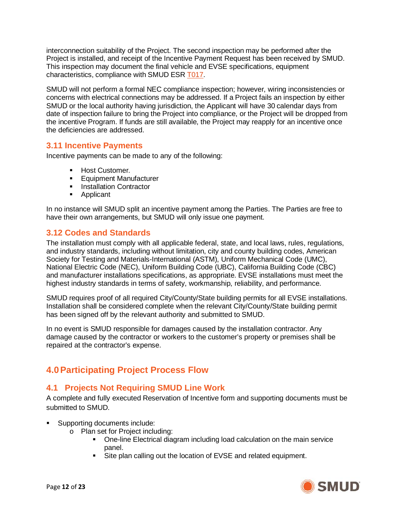interconnection suitability of the Project. The second inspection may be performed after the Project is installed, and receipt of the Incentive Payment Request has been received by SMUD. This inspection may document the final vehicle and EVSE specifications, equipment characteristics, compliance with SMUD ESR [T017.](https://www.smud.org/-/media/Documents/Business-Solutions-and-Rebates/PDFs/Engineering-Specification-T017---Electric-Vehicle-Chargers-Rev-0---3-6-18.ashx)

SMUD will not perform a formal NEC compliance inspection; however, wiring inconsistencies or concerns with electrical connections may be addressed. If a Project fails an inspection by either SMUD or the local authority having jurisdiction, the Applicant will have 30 calendar days from date of inspection failure to bring the Project into compliance, or the Project will be dropped from the incentive Program. If funds are still available, the Project may reapply for an incentive once the deficiencies are addressed.

#### <span id="page-11-0"></span>**3.11 Incentive Payments**

Incentive payments can be made to any of the following:

- **Host Customer.**
- **Equipment Manufacturer**
- **Installation Contractor**
- **-** Applicant

In no instance will SMUD split an incentive payment among the Parties. The Parties are free to have their own arrangements, but SMUD will only issue one payment.

#### <span id="page-11-1"></span>**3.12 Codes and Standards**

The installation must comply with all applicable federal, state, and local laws, rules, regulations, and industry standards, including without limitation, city and county building codes, American Society for Testing and Materials-International (ASTM), Uniform Mechanical Code (UMC), National Electric Code (NEC), Uniform Building Code (UBC), California Building Code (CBC) and manufacturer installations specifications, as appropriate. EVSE installations must meet the highest industry standards in terms of safety, workmanship, reliability, and performance.

SMUD requires proof of all required City/County/State building permits for all EVSE installations. Installation shall be considered complete when the relevant City/County/State building permit has been signed off by the relevant authority and submitted to SMUD.

In no event is SMUD responsible for damages caused by the installation contractor. Any damage caused by the contractor or workers to the customer's property or premises shall be repaired at the contractor's expense.

# <span id="page-11-2"></span>**4.0Participating Project Process Flow**

# <span id="page-11-3"></span>**4.1 Projects Not Requiring SMUD Line Work**

A complete and fully executed Reservation of Incentive form and supporting documents must be submitted to SMUD.

- Supporting documents include:
	- o Plan set for Project including:
		- One-line Electrical diagram including load calculation on the main service panel.
		- **Site plan calling out the location of EVSE and related equipment.**

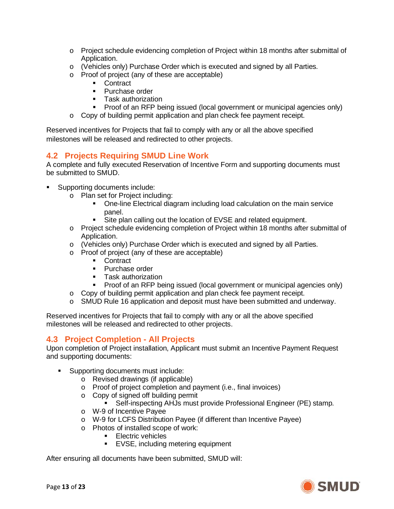- o Project schedule evidencing completion of Project within 18 months after submittal of Application.
- o (Vehicles only) Purchase Order which is executed and signed by all Parties.
- o Proof of project (any of these are acceptable)
	- **Contract**
	- Purchase order
	- **Task authorization**
	- Proof of an RFP being issued (local government or municipal agencies only)
- o Copy of building permit application and plan check fee payment receipt.

Reserved incentives for Projects that fail to comply with any or all the above specified milestones will be released and redirected to other projects.

#### <span id="page-12-0"></span>**4.2 Projects Requiring SMUD Line Work**

A complete and fully executed Reservation of Incentive Form and supporting documents must be submitted to SMUD.

- Supporting documents include:
	- o Plan set for Project including:<br>One-line Flectrical diac
		- One-line Electrical diagram including load calculation on the main service panel.
			- Site plan calling out the location of EVSE and related equipment.
	- o Project schedule evidencing completion of Project within 18 months after submittal of Application.
	- o (Vehicles only) Purchase Order which is executed and signed by all Parties.
	- o Proof of project (any of these are acceptable)
		- **Contract**
		- Purchase order
		- **Task authorization**
		- **Proof of an RFP being issued (local government or municipal agencies only)**
	- o Copy of building permit application and plan check fee payment receipt.
	- o SMUD Rule 16 application and deposit must have been submitted and underway.

Reserved incentives for Projects that fail to comply with any or all the above specified milestones will be released and redirected to other projects.

#### <span id="page-12-1"></span>**4.3 Project Completion - All Projects**

Upon completion of Project installation, Applicant must submit an Incentive Payment Request and supporting documents:

- **Supporting documents must include:** 
	- o Revised drawings (if applicable)
	- o Proof of project completion and payment (i.e., final invoices)
	- o Copy of signed off building permit

Self-inspecting AHJs must provide Professional Engineer (PE) stamp.

- o W-9 of Incentive Payee
- o W-9 for LCFS Distribution Payee (if different than Incentive Payee)
- o Photos of installed scope of work:
	- **Electric vehicles**
	- **EVSE, including metering equipment**

After ensuring all documents have been submitted, SMUD will:

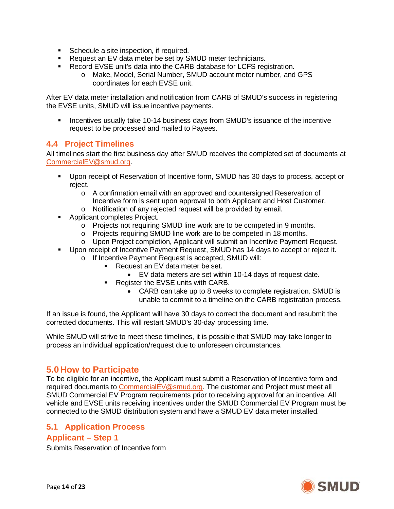- **Schedule a site inspection, if required.**
- **Request an EV data meter be set by SMUD meter technicians.**
- **Record EVSE unit's data into the CARB database for LCFS registration.** 
	- o Make, Model, Serial Number, SMUD account meter number, and GPS coordinates for each EVSE unit.

After EV data meter installation and notification from CARB of SMUD's success in registering the EVSE units, SMUD will issue incentive payments.

 Incentives usually take 10-14 business days from SMUD's issuance of the incentive request to be processed and mailed to Payees.

#### <span id="page-13-0"></span>**4.4 Project Timelines**

All timelines start the first business day after SMUD receives the completed set of documents at [CommercialEV@smud.org.](mailto:CommercialEV@smud.org)

- Upon receipt of Reservation of Incentive form, SMUD has 30 days to process, accept or reject.
	- o A confirmation email with an approved and countersigned Reservation of Incentive form is sent upon approval to both Applicant and Host Customer.
	- o Notification of any rejected request will be provided by email.
- **Applicant completes Project.** 
	- o Projects not requiring SMUD line work are to be competed in 9 months.
	- o Projects requiring SMUD line work are to be competed in 18 months.
	- o Upon Project completion, Applicant will submit an Incentive Payment Request.
- Upon receipt of Incentive Payment Request, SMUD has 14 days to accept or reject it.
	- o If Incentive Payment Request is accepted, SMUD will:
		- Request an EV data meter be set.
		- EV data meters are set within 10-14 days of request date.
		- Register the EVSE units with CARB.
			- CARB can take up to 8 weeks to complete registration. SMUD is unable to commit to a timeline on the CARB registration process.

If an issue is found, the Applicant will have 30 days to correct the document and resubmit the corrected documents. This will restart SMUD's 30-day processing time.

While SMUD will strive to meet these timelines, it is possible that SMUD may take longer to process an individual application/request due to unforeseen circumstances.

#### <span id="page-13-1"></span>**5.0How to Participate**

To be eligible for an incentive, the Applicant must submit a Reservation of Incentive form and required documents to [CommercialEV@smud.org.](mailto:CommercialEV@smud.org) The customer and Project must meet all SMUD Commercial EV Program requirements prior to receiving approval for an incentive. All vehicle and EVSE units receiving incentives under the SMUD Commercial EV Program must be connected to the SMUD distribution system and have a SMUD EV data meter installed.

#### <span id="page-13-2"></span>**5.1 Application Process**

#### <span id="page-13-3"></span>**Applicant – Step 1**

Submits Reservation of Incentive form

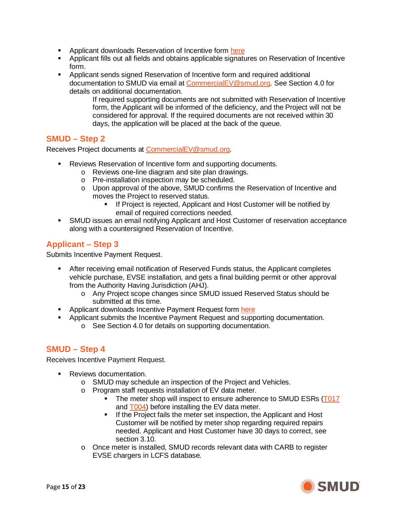- **Applicant downloads Reservation of Incentive form [here](https://www.smud.org/-/media/Documents/Going-Green/EVs/3712a.ashx)**
- Applicant fills out all fields and obtains applicable signatures on Reservation of Incentive form.
- Applicant sends signed Reservation of Incentive form and required additional documentation to SMUD via email at [CommercialEV@smud.org.](mailto:commercialEV@smud.org?subject=Reservation%20of%20Incentive%20) See Section 4.0 for details on additional documentation.

If required supporting documents are not submitted with Reservation of Incentive form, the Applicant will be informed of the deficiency, and the Project will not be considered for approval. If the required documents are not received within 30 days, the application will be placed at the back of the queue.

#### <span id="page-14-0"></span>**SMUD – Step 2**

Receives Project documents at [CommercialEV@smud.org.](mailto:CommercialEV@smud.org)

- **Reviews Reservation of Incentive form and supporting documents.** 
	- o Reviews one-line diagram and site plan drawings.
	- o Pre-installation inspection may be scheduled.
	- o Upon approval of the above, SMUD confirms the Reservation of Incentive and moves the Project to reserved status.
		- If Project is rejected, Applicant and Host Customer will be notified by email of required corrections needed.
- SMUD issues an email notifying Applicant and Host Customer of reservation acceptance along with a countersigned Reservation of Incentive.

# <span id="page-14-1"></span>**Applicant – Step 3**

Submits Incentive Payment Request.

- After receiving email notification of Reserved Funds status, the Applicant completes vehicle purchase, EVSE installation, and gets a final building permit or other approval from the Authority Having Jurisdiction (AHJ).
	- o Any Project scope changes since SMUD issued Reserved Status should be submitted at this time.
- **Applicant downloads Incentive Payment Request form [here](https://www.smud.org/-/media/Documents/Going-Green/EVs/3712b.ashx)**
- **Applicant submits the Incentive Payment Request and supporting documentation.** o See Section 4.0 for details on supporting documentation.

# <span id="page-14-2"></span>**SMUD – Step 4**

Receives Incentive Payment Request.

- **Reviews documentation.** 
	- o SMUD may schedule an inspection of the Project and Vehicles.
	- o Program staff requests installation of EV data meter.
		- The meter shop will inspect to ensure adherence to SMUD ESRs [\(T017](https://www.smud.org/-/media/Documents/Business-Solutions-and-Rebates/PDFs/Engineering-Specification-T017---Electric-Vehicle-Chargers-Rev-0---3-6-18.ashx) and [T004\)](https://www.smud.org/-/media/Documents/Business-Solutions-and-Rebates/PDFs/Commercial_Industrial_Sec_IV.ashx) before installing the EV data meter.
		- If the Project fails the meter set inspection, the Applicant and Host Customer will be notified by meter shop regarding required repairs needed. Applicant and Host Customer have 30 days to correct, see section 3.10.
	- $\circ$  Once meter is installed, SMUD records relevant data with CARB to register EVSE chargers in LCFS database.

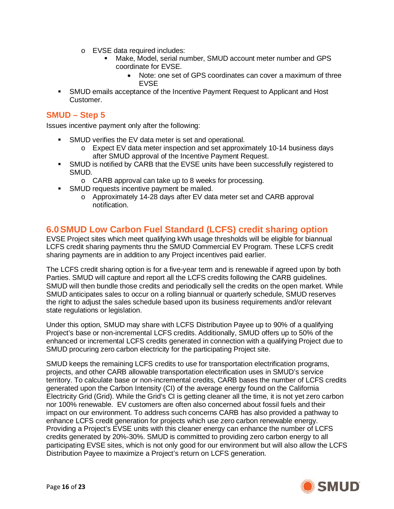- o EVSE data required includes:
	- Make, Model, serial number, SMUD account meter number and GPS coordinate for EVSE.
		- Note: one set of GPS coordinates can cover a maximum of three EVSE
- SMUD emails acceptance of the Incentive Payment Request to Applicant and Host Customer.

#### <span id="page-15-0"></span>**SMUD – Step 5**

Issues incentive payment only after the following:

- **SMUD verifies the EV data meter is set and operational.** 
	- o Expect EV data meter inspection and set approximately 10-14 business days after SMUD approval of the Incentive Payment Request.
- SMUD is notified by CARB that the EVSE units have been successfully registered to SMUD.
	- o CARB approval can take up to 8 weeks for processing.
- **SMUD requests incentive payment be mailed.** 
	- o Approximately 14-28 days after EV data meter set and CARB approval notification.

# <span id="page-15-1"></span>**6.0SMUD Low Carbon Fuel Standard (LCFS) credit sharing option**

EVSE Project sites which meet qualifying kWh usage thresholds will be eligible for biannual LCFS credit sharing payments thru the SMUD Commercial EV Program. These LCFS credit sharing payments are in addition to any Project incentives paid earlier.

The LCFS credit sharing option is for a five-year term and is renewable if agreed upon by both Parties. SMUD will capture and report all the LCFS credits following the CARB guidelines. SMUD will then bundle those credits and periodically sell the credits on the open market. While SMUD anticipates sales to occur on a rolling biannual or quarterly schedule, SMUD reserves the right to adjust the sales schedule based upon its business requirements and/or relevant state regulations or legislation.

Under this option, SMUD may share with LCFS Distribution Payee up to 90% of a qualifying Project's base or non-incremental LCFS credits. Additionally, SMUD offers up to 50% of the enhanced or incremental LCFS credits generated in connection with a qualifying Project due to SMUD procuring zero carbon electricity for the participating Project site.

SMUD keeps the remaining LCFS credits to use for transportation electrification programs, projects, and other CARB allowable transportation electrification uses in SMUD's service territory. To calculate base or non-incremental credits, CARB bases the number of LCFS credits generated upon the Carbon Intensity (CI) of the average energy found on the California Electricity Grid (Grid). While the Grid's CI is getting cleaner all the time, it is not yet zero carbon nor 100% renewable. EV customers are often also concerned about fossil fuels and their impact on our environment. To address such concerns CARB has also provided a pathway to enhance LCFS credit generation for projects which use zero carbon renewable energy. Providing a Project's EVSE units with this cleaner energy can enhance the number of LCFS credits generated by 20%-30%. SMUD is committed to providing zero carbon energy to all participating EVSE sites, which is not only good for our environment but will also allow the LCFS Distribution Payee to maximize a Project's return on LCFS generation.

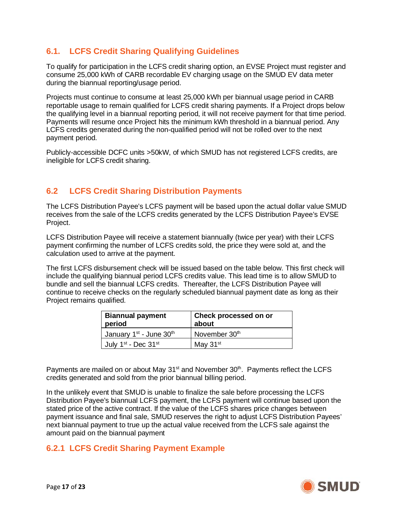# <span id="page-16-0"></span>**6.1. LCFS Credit Sharing Qualifying Guidelines**

To qualify for participation in the LCFS credit sharing option, an EVSE Project must register and consume 25,000 kWh of CARB recordable EV charging usage on the SMUD EV data meter during the biannual reporting/usage period.

Projects must continue to consume at least 25,000 kWh per biannual usage period in CARB reportable usage to remain qualified for LCFS credit sharing payments. If a Project drops below the qualifying level in a biannual reporting period, it will not receive payment for that time period. Payments will resume once Project hits the minimum kWh threshold in a biannual period. Any LCFS credits generated during the non-qualified period will not be rolled over to the next payment period.

Publicly-accessible DCFC units >50kW, of which SMUD has not registered LCFS credits, are ineligible for LCFS credit sharing.

# <span id="page-16-1"></span>**6.2 LCFS Credit Sharing Distribution Payments**

The LCFS Distribution Payee's LCFS payment will be based upon the actual dollar value SMUD receives from the sale of the LCFS credits generated by the LCFS Distribution Payee's EVSE Project.

LCFS Distribution Payee will receive a statement biannually (twice per year) with their LCFS payment confirming the number of LCFS credits sold, the price they were sold at, and the calculation used to arrive at the payment.

The first LCFS disbursement check will be issued based on the table below. This first check will include the qualifying biannual period LCFS credits value. This lead time is to allow SMUD to bundle and sell the biannual LCFS credits. Thereafter, the LCFS Distribution Payee will continue to receive checks on the regularly scheduled biannual payment date as long as their Project remains qualified.

| <b>Biannual payment</b><br>period               | Check processed on or<br>about |  |  |  |
|-------------------------------------------------|--------------------------------|--|--|--|
| January 1 <sup>st</sup> - June 30 <sup>th</sup> | November 30 <sup>th</sup>      |  |  |  |
| July 1 <sup>st</sup> - Dec 31 <sup>st</sup>     | May $31st$                     |  |  |  |

Payments are mailed on or about May  $31<sup>st</sup>$  and November  $30<sup>th</sup>$ . Payments reflect the LCFS credits generated and sold from the prior biannual billing period.

In the unlikely event that SMUD is unable to finalize the sale before processing the LCFS Distribution Payee's biannual LCFS payment, the LCFS payment will continue based upon the stated price of the active contract. If the value of the LCFS shares price changes between payment issuance and final sale, SMUD reserves the right to adjust LCFS Distribution Payees' next biannual payment to true up the actual value received from the LCFS sale against the amount paid on the biannual payment

# <span id="page-16-2"></span>**6.2.1 LCFS Credit Sharing Payment Example**

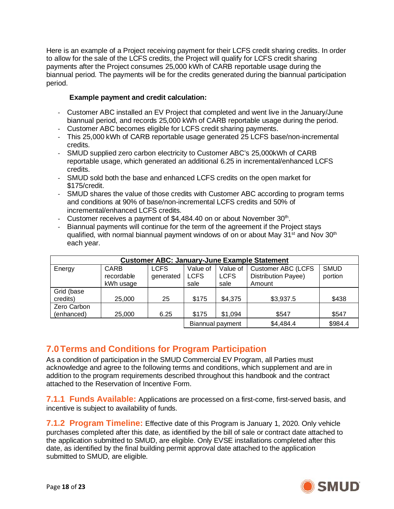Here is an example of a Project receiving payment for their LCFS credit sharing credits. In order to allow for the sale of the LCFS credits, the Project will qualify for LCFS credit sharing payments after the Project consumes 25,000 kWh of CARB reportable usage during the biannual period. The payments will be for the credits generated during the biannual participation period.

#### **Example payment and credit calculation:**

- Customer ABC installed an EV Project that completed and went live in the January/June biannual period, and records 25,000 kWh of CARB reportable usage during the period.
- Customer ABC becomes eligible for LCFS credit sharing payments.
- This 25,000 kWh of CARB reportable usage generated 25 LCFS base/non-incremental credits.
- SMUD supplied zero carbon electricity to Customer ABC's 25,000kWh of CARB reportable usage, which generated an additional 6.25 in incremental/enhanced LCFS credits.
- SMUD sold both the base and enhanced LCFS credits on the open market for \$175/credit.
- SMUD shares the value of those credits with Customer ABC according to program terms and conditions at 90% of base/non-incremental LCFS credits and 50% of incremental/enhanced LCFS credits.
- Customer receives a payment of  $$4,484.40$  on or about November  $30<sup>th</sup>$ .
- Biannual payments will continue for the term of the agreement if the Project stays qualified, with normal biannual payment windows of on or about May 31<sup>st</sup> and Nov 30<sup>th</sup> each year.

| <b>Customer ABC: January-June Example Statement</b> |            |             |                  |             |                           |             |
|-----------------------------------------------------|------------|-------------|------------------|-------------|---------------------------|-------------|
| Energy                                              | CARB       | <b>LCFS</b> | Value of         | Value of    | <b>Customer ABC (LCFS</b> | <b>SMUD</b> |
|                                                     | recordable | generated   | <b>LCFS</b>      | <b>LCFS</b> | Distribution Payee)       | portion     |
|                                                     | kWh usage  |             | sale             | sale        | Amount                    |             |
| Grid (base                                          |            |             |                  |             |                           |             |
| credits)                                            | 25,000     | 25          | \$175            | \$4,375     | \$3,937.5                 | \$438       |
| Zero Carbon                                         |            |             |                  |             |                           |             |
| (enhanced)                                          | 25,000     | 6.25        | \$175            | \$1,094     | \$547                     | \$547       |
|                                                     |            |             | Biannual payment | \$4,484.4   | \$984.4                   |             |

# <span id="page-17-0"></span>**7.0Terms and Conditions for Program Participation**

As a condition of participation in the SMUD Commercial EV Program, all Parties must acknowledge and agree to the following terms and conditions, which supplement and are in addition to the program requirements described throughout this handbook and the contract attached to the Reservation of Incentive Form.

<span id="page-17-1"></span>**7.1.1 Funds Available:** Applications are processed on a first-come, first-served basis, and incentive is subject to availability of funds.

<span id="page-17-2"></span>**7.1.2 Program Timeline:** Effective date of this Program is January 1, 2020. Only vehicle purchases completed after this date, as identified by the bill of sale or contract date attached to the application submitted to SMUD, are eligible. Only EVSE installations completed after this date, as identified by the final building permit approval date attached to the application submitted to SMUD, are eligible.

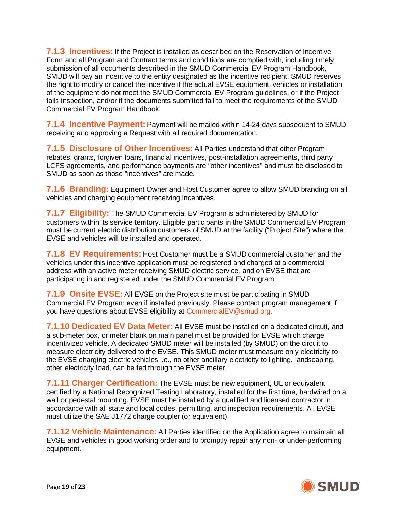<span id="page-18-0"></span>**7.1.3 Incentives:** If the Project is installed as described on the Reservation of Incentive Form and all Program and Contract terms and conditions are complied with, including timely submission of all documents described in the SMUD Commercial EV Program Handbook, SMUD will pay an incentive to the entity designated as the incentive recipient. SMUD reserves the right to modify or cancel the incentive if the actual EVSE equipment, vehicles or installation of the equipment do not meet the SMUD Commercial EV Program guidelines, or if the Project fails inspection, and/or if the documents submitted fail to meet the requirements of the SMUD Commercial EV Program Handbook.

<span id="page-18-1"></span>**7.1.4 Incentive Payment:** Payment will be mailed within 14-24 days subsequent to SMUD receiving and approving a Request with all required documentation.

<span id="page-18-2"></span>**7.1.5 Disclosure of Other Incentives:** All Parties understand that other Program rebates, grants, forgiven loans, financial incentives, post-installation agreements, third party LCFS agreements, and performance payments are "other incentives" and must be disclosed to SMUD as soon as those "incentives" are made.

<span id="page-18-3"></span>**7.1.6 Branding:** Equipment Owner and Host Customer agree to allow SMUD branding on all vehicles and charging equipment receiving incentives.

<span id="page-18-4"></span>**7.1.7 Eligibility:** The SMUD Commercial EV Program is administered by SMUD for customers within its service territory. Eligible participants in the SMUD Commercial EV Program must be current electric distribution customers of SMUD at the facility ("Project Site") where the EVSE and vehicles will be installed and operated.

<span id="page-18-5"></span>**7.1.8 EV Requirements:** Host Customer must be a SMUD commercial customer and the vehicles under this incentive application must be registered and charged at a commercial address with an active meter receiving SMUD electric service, and on EVSE that are participating in and registered under the SMUD Commercial EV Program.

<span id="page-18-6"></span>**7.1.9 Onsite EVSE:** All EVSE on the Project site must be participating in SMUD Commercial EV Program even if installed previously. Please contact program management if you have questions about EVSE eligibility at [CommercialEV@smud.org.](mailto:CommercialEV@smud.org)

<span id="page-18-7"></span>**7.1.10 Dedicated EV Data Meter:** All EVSE must be installed on a dedicated circuit, and a sub-meter box, or meter blank on main panel must be provided for EVSE which charge incentivized vehicle. A dedicated SMUD meter will be installed (by SMUD) on the circuit to measure electricity delivered to the EVSE. This SMUD meter must measure only electricity to the EVSE charging electric vehicles i.e., no other ancillary electricity to lighting, landscaping, other electricity load, can be fed through the EVSE meter.

<span id="page-18-8"></span>**7.1.11 Charger Certification:** The EVSE must be new equipment, UL or equivalent certified by a National Recognized Testing Laboratory, installed for the first time, hardwired on a wall or pedestal mounting. EVSE must be installed by a qualified and licensed contractor in accordance with all state and local codes, permitting, and inspection requirements. All EVSE must utilize the SAE J1772 charge coupler (or equivalent).

<span id="page-18-9"></span>**7.1.12 Vehicle Maintenance:** All Parties identified on the Application agree to maintain all EVSE and vehicles in good working order and to promptly repair any non- or under-performing equipment.

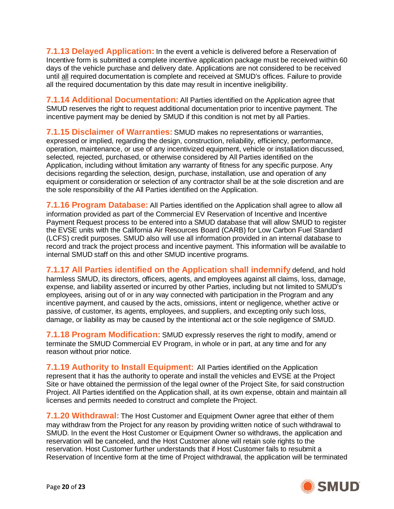<span id="page-19-0"></span>**7.1.13 Delayed Application:** In the event a vehicle is delivered before a Reservation of Incentive form is submitted a complete incentive application package must be received within 60 days of the vehicle purchase and delivery date. Applications are not considered to be received until all required documentation is complete and received at SMUD's offices. Failure to provide all the required documentation by this date may result in incentive ineligibility.

<span id="page-19-1"></span>**7.1.14 Additional Documentation:** All Parties identified on the Application agree that SMUD reserves the right to request additional documentation prior to incentive payment. The incentive payment may be denied by SMUD if this condition is not met by all Parties.

<span id="page-19-2"></span>**7.1.15 Disclaimer of Warranties:** SMUD makes no representations or warranties, expressed or implied, regarding the design, construction, reliability, efficiency, performance, operation, maintenance, or use of any incentivized equipment, vehicle or installation discussed, selected, rejected, purchased, or otherwise considered by All Parties identified on the Application, including without limitation any warranty of fitness for any specific purpose. Any decisions regarding the selection, design, purchase, installation, use and operation of any equipment or consideration or selection of any contractor shall be at the sole discretion and are the sole responsibility of the All Parties identified on the Application.

<span id="page-19-3"></span>**7.1.16 Program Database:** All Parties identified on the Application shall agree to allow all information provided as part of the Commercial EV Reservation of Incentive and Incentive Payment Request process to be entered into a SMUD database that will allow SMUD to register the EVSE units with the California Air Resources Board (CARB) for Low Carbon Fuel Standard (LCFS) credit purposes. SMUD also will use all information provided in an internal database to record and track the project process and incentive payment. This information will be available to internal SMUD staff on this and other SMUD incentive programs.

<span id="page-19-4"></span>**7.1.17 All Parties identified on the Application shall indemnify** defend, and hold harmless SMUD, its directors, officers, agents, and employees against all claims, loss, damage, expense, and liability asserted or incurred by other Parties, including but not limited to SMUD's employees, arising out of or in any way connected with participation in the Program and any incentive payment, and caused by the acts, omissions, intent or negligence, whether active or passive, of customer, its agents, employees, and suppliers, and excepting only such loss, damage, or liability as may be caused by the intentional act or the sole negligence of SMUD.

<span id="page-19-5"></span>**7.1.18 Program Modification:** SMUD expressly reserves the right to modify, amend or terminate the SMUD Commercial EV Program, in whole or in part, at any time and for any reason without prior notice.

<span id="page-19-6"></span>**7.1.19 Authority to Install Equipment:** All Parties identified on the Application represent that it has the authority to operate and install the vehicles and EVSE at the Project Site or have obtained the permission of the legal owner of the Project Site, for said construction Project. All Parties identified on the Application shall, at its own expense, obtain and maintain all licenses and permits needed to construct and complete the Project.

<span id="page-19-7"></span>**7.1.20 Withdrawal:** The Host Customer and Equipment Owner agree that either of them may withdraw from the Project for any reason by providing written notice of such withdrawal to SMUD. In the event the Host Customer or Equipment Owner so withdraws, the application and reservation will be canceled, and the Host Customer alone will retain sole rights to the reservation. Host Customer further understands that if Host Customer fails to resubmit a Reservation of Incentive form at the time of Project withdrawal, the application will be terminated

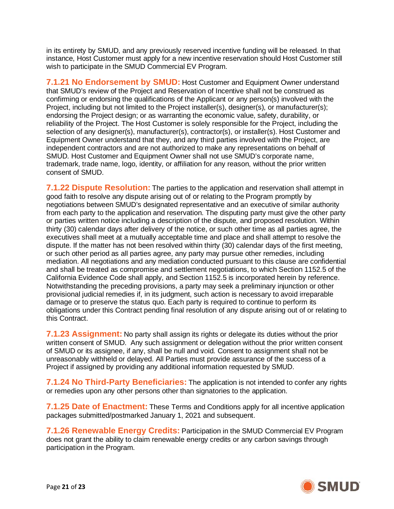in its entirety by SMUD, and any previously reserved incentive funding will be released. In that instance, Host Customer must apply for a new incentive reservation should Host Customer still wish to participate in the SMUD Commercial EV Program.

<span id="page-20-0"></span>**7.1.21 No Endorsement by SMUD:** Host Customer and Equipment Owner understand that SMUD's review of the Project and Reservation of Incentive shall not be construed as confirming or endorsing the qualifications of the Applicant or any person(s) involved with the Project, including but not limited to the Project installer(s), designer(s), or manufacturer(s); endorsing the Project design; or as warranting the economic value, safety, durability, or reliability of the Project. The Host Customer is solely responsible for the Project, including the selection of any designer(s), manufacturer(s), contractor(s), or installer(s). Host Customer and Equipment Owner understand that they, and any third parties involved with the Project, are independent contractors and are not authorized to make any representations on behalf of SMUD. Host Customer and Equipment Owner shall not use SMUD's corporate name, trademark, trade name, logo, identity, or affiliation for any reason, without the prior written consent of SMUD.

<span id="page-20-1"></span>**7.1.22 Dispute Resolution:** The parties to the application and reservation shall attempt in good faith to resolve any dispute arising out of or relating to the Program promptly by negotiations between SMUD's designated representative and an executive of similar authority from each party to the application and reservation. The disputing party must give the other party or parties written notice including a description of the dispute, and proposed resolution. Within thirty (30) calendar days after delivery of the notice, or such other time as all parties agree, the executives shall meet at a mutually acceptable time and place and shall attempt to resolve the dispute. If the matter has not been resolved within thirty (30) calendar days of the first meeting, or such other period as all parties agree, any party may pursue other remedies, including mediation. All negotiations and any mediation conducted pursuant to this clause are confidential and shall be treated as compromise and settlement negotiations, to which Section 1152.5 of the California Evidence Code shall apply, and Section 1152.5 is incorporated herein by reference. Notwithstanding the preceding provisions, a party may seek a preliminary injunction or other provisional judicial remedies if, in its judgment, such action is necessary to avoid irreparable damage or to preserve the status quo. Each party is required to continue to perform its obligations under this Contract pending final resolution of any dispute arising out of or relating to this Contract.

<span id="page-20-2"></span>**7.1.23 Assignment:** No party shall assign its rights or delegate its duties without the prior written consent of SMUD. Any such assignment or delegation without the prior written consent of SMUD or its assignee, if any, shall be null and void. Consent to assignment shall not be unreasonably withheld or delayed. All Parties must provide assurance of the success of a Project if assigned by providing any additional information requested by SMUD.

<span id="page-20-3"></span>**7.1.24 No Third-Party Beneficiaries:** The application is not intended to confer any rights or remedies upon any other persons other than signatories to the application.

<span id="page-20-4"></span>**7.1.25 Date of Enactment:** These Terms and Conditions apply for all incentive application packages submitted/postmarked January 1, 2021 and subsequent.

<span id="page-20-5"></span>**7.1.26 Renewable Energy Credits:** Participation in the SMUD Commercial EV Program does not grant the ability to claim renewable energy credits or any carbon savings through participation in the Program.

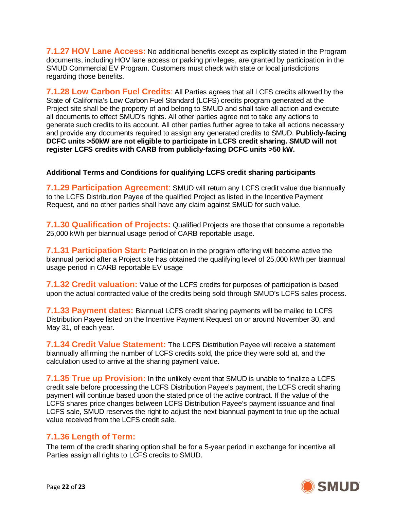<span id="page-21-0"></span>**7.1.27 HOV Lane Access:** No additional benefits except as explicitly stated in the Program documents, including HOV lane access or parking privileges, are granted by participation in the SMUD Commercial EV Program. Customers must check with state or local jurisdictions regarding those benefits.

<span id="page-21-1"></span>**7.1.28 Low Carbon Fuel Credits**: All Parties agrees that all LCFS credits allowed by the State of California's Low Carbon Fuel Standard (LCFS) credits program generated at the Project site shall be the property of and belong to SMUD and shall take all action and execute all documents to effect SMUD's rights. All other parties agree not to take any actions to generate such credits to its account. All other parties further agree to take all actions necessary and provide any documents required to assign any generated credits to SMUD. **Publicly-facing DCFC units >50kW are not eligible to participate in LCFS credit sharing. SMUD will not register LCFS credits with CARB from publicly-facing DCFC units >50 kW.**

#### **Additional Terms and Conditions for qualifying LCFS credit sharing participants**

<span id="page-21-2"></span>**7.1.29 Participation Agreement**: SMUD will return any LCFS credit value due biannually to the LCFS Distribution Payee of the qualified Project as listed in the Incentive Payment Request, and no other parties shall have any claim against SMUD for such value.

<span id="page-21-3"></span>**7.1.30 Qualification of Projects:** Qualified Projects are those that consume a reportable 25,000 kWh per biannual usage period of CARB reportable usage.

<span id="page-21-4"></span>**7.1.31 Participation Start:** Participation in the program offering will become active the biannual period after a Project site has obtained the qualifying level of 25,000 kWh per biannual usage period in CARB reportable EV usage

<span id="page-21-5"></span>**7.1.32 Credit valuation:** Value of the LCFS credits for purposes of participation is based upon the actual contracted value of the credits being sold through SMUD's LCFS sales process.

<span id="page-21-6"></span>**7.1.33 Payment dates:** Biannual LCFS credit sharing payments will be mailed to LCFS Distribution Payee listed on the Incentive Payment Request on or around November 30, and May 31, of each year.

<span id="page-21-7"></span>**7.1.34 Credit Value Statement:** The LCFS Distribution Payee will receive a statement biannually affirming the number of LCFS credits sold, the price they were sold at, and the calculation used to arrive at the sharing payment value.

<span id="page-21-8"></span>**7.1.35 True up Provision:** In the unlikely event that SMUD is unable to finalize a LCFS credit sale before processing the LCFS Distribution Payee's payment, the LCFS credit sharing payment will continue based upon the stated price of the active contract. If the value of the LCFS shares price changes between LCFS Distribution Payee's payment issuance and final LCFS sale, SMUD reserves the right to adjust the next biannual payment to true up the actual value received from the LCFS credit sale.

#### <span id="page-21-9"></span>**7.1.36 Length of Term:**

The term of the credit sharing option shall be for a 5-year period in exchange for incentive all Parties assign all rights to LCFS credits to SMUD.